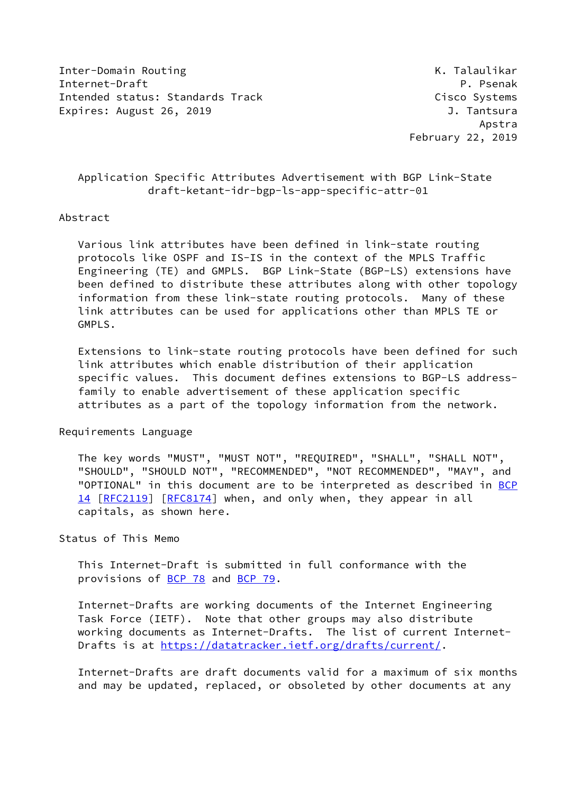Inter-Domain Routing K. The Communication of the Communication of the Communication of the Communication of the Communication of the Communication of the Communication of the Communication of the Communication of the Commu Internet-Draft Property Communication of P. Psenak Intended status: Standards Track Cisco Systems Expires: August 26, 2019 **J. Tantsura** 

 Apstra February 22, 2019

# Application Specific Attributes Advertisement with BGP Link-State draft-ketant-idr-bgp-ls-app-specific-attr-01

### Abstract

 Various link attributes have been defined in link-state routing protocols like OSPF and IS-IS in the context of the MPLS Traffic Engineering (TE) and GMPLS. BGP Link-State (BGP-LS) extensions have been defined to distribute these attributes along with other topology information from these link-state routing protocols. Many of these link attributes can be used for applications other than MPLS TE or GMPLS.

 Extensions to link-state routing protocols have been defined for such link attributes which enable distribution of their application specific values. This document defines extensions to BGP-LS address family to enable advertisement of these application specific attributes as a part of the topology information from the network.

# Requirements Language

 The key words "MUST", "MUST NOT", "REQUIRED", "SHALL", "SHALL NOT", "SHOULD", "SHOULD NOT", "RECOMMENDED", "NOT RECOMMENDED", "MAY", and "OPTIONAL" in this document are to be interpreted as described in [BCP](https://datatracker.ietf.org/doc/pdf/bcp14) [14](https://datatracker.ietf.org/doc/pdf/bcp14) [[RFC2119\]](https://datatracker.ietf.org/doc/pdf/rfc2119) [\[RFC8174](https://datatracker.ietf.org/doc/pdf/rfc8174)] when, and only when, they appear in all capitals, as shown here.

Status of This Memo

 This Internet-Draft is submitted in full conformance with the provisions of [BCP 78](https://datatracker.ietf.org/doc/pdf/bcp78) and [BCP 79](https://datatracker.ietf.org/doc/pdf/bcp79).

 Internet-Drafts are working documents of the Internet Engineering Task Force (IETF). Note that other groups may also distribute working documents as Internet-Drafts. The list of current Internet Drafts is at<https://datatracker.ietf.org/drafts/current/>.

 Internet-Drafts are draft documents valid for a maximum of six months and may be updated, replaced, or obsoleted by other documents at any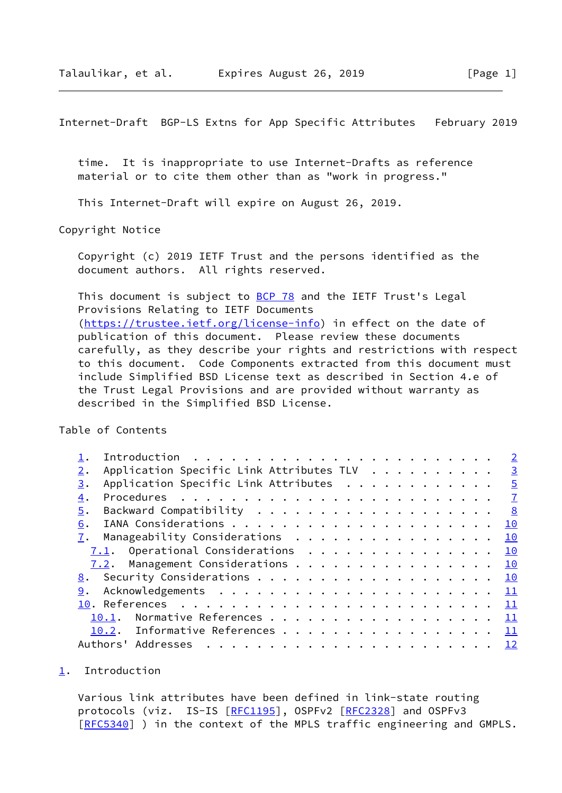<span id="page-1-1"></span> time. It is inappropriate to use Internet-Drafts as reference material or to cite them other than as "work in progress."

This Internet-Draft will expire on August 26, 2019.

Copyright Notice

 Copyright (c) 2019 IETF Trust and the persons identified as the document authors. All rights reserved.

This document is subject to **[BCP 78](https://datatracker.ietf.org/doc/pdf/bcp78)** and the IETF Trust's Legal Provisions Relating to IETF Documents [\(https://trustee.ietf.org/license-info](https://trustee.ietf.org/license-info)) in effect on the date of publication of this document. Please review these documents carefully, as they describe your rights and restrictions with respect to this document. Code Components extracted from this document must include Simplified BSD License text as described in Section 4.e of the Trust Legal Provisions and are provided without warranty as described in the Simplified BSD License.

Table of Contents

|       |          |                                          |  |                                                                                                                                                                                                                                                                                                                                                                                                                                                            |  |  |  |  |  |  |  |  | $\overline{2}$  |
|-------|----------|------------------------------------------|--|------------------------------------------------------------------------------------------------------------------------------------------------------------------------------------------------------------------------------------------------------------------------------------------------------------------------------------------------------------------------------------------------------------------------------------------------------------|--|--|--|--|--|--|--|--|-----------------|
| $2$ . |          | Application Specific Link Attributes TLV |  |                                                                                                                                                                                                                                                                                                                                                                                                                                                            |  |  |  |  |  |  |  |  | $\overline{3}$  |
| 3.    |          | Application Specific Link Attributes     |  |                                                                                                                                                                                                                                                                                                                                                                                                                                                            |  |  |  |  |  |  |  |  | $\overline{5}$  |
| 4.    |          |                                          |  |                                                                                                                                                                                                                                                                                                                                                                                                                                                            |  |  |  |  |  |  |  |  |                 |
| 5.    |          |                                          |  |                                                                                                                                                                                                                                                                                                                                                                                                                                                            |  |  |  |  |  |  |  |  | 8               |
| 6.    |          |                                          |  |                                                                                                                                                                                                                                                                                                                                                                                                                                                            |  |  |  |  |  |  |  |  | 10              |
| 7.    |          | Manageability Considerations             |  |                                                                                                                                                                                                                                                                                                                                                                                                                                                            |  |  |  |  |  |  |  |  | 10              |
|       |          |                                          |  |                                                                                                                                                                                                                                                                                                                                                                                                                                                            |  |  |  |  |  |  |  |  | 10              |
|       |          | 7.2. Management Considerations           |  |                                                                                                                                                                                                                                                                                                                                                                                                                                                            |  |  |  |  |  |  |  |  | 10              |
|       |          | 8. Security Considerations 10            |  |                                                                                                                                                                                                                                                                                                                                                                                                                                                            |  |  |  |  |  |  |  |  |                 |
| 9.    |          |                                          |  |                                                                                                                                                                                                                                                                                                                                                                                                                                                            |  |  |  |  |  |  |  |  | 11              |
|       |          |                                          |  |                                                                                                                                                                                                                                                                                                                                                                                                                                                            |  |  |  |  |  |  |  |  | 11              |
|       | 10.1.    |                                          |  |                                                                                                                                                                                                                                                                                                                                                                                                                                                            |  |  |  |  |  |  |  |  | 11              |
|       |          | 10.2. Informative References             |  |                                                                                                                                                                                                                                                                                                                                                                                                                                                            |  |  |  |  |  |  |  |  | $\mathbf{11}$   |
|       | Authors' | Addresses                                |  | $\mathbf{1}_{\mathbf{1}}\left( \mathbf{1}_{\mathbf{1}}\left( \mathbf{1}_{\mathbf{1}}\left( \mathbf{1}_{\mathbf{1}}\left( \mathbf{1}_{\mathbf{1}}\left( \mathbf{1}_{\mathbf{1}}\left( \mathbf{1}_{\mathbf{1}}\left( \mathbf{1}_{\mathbf{1}}\left( \mathbf{1}_{\mathbf{1}}\left( \mathbf{1}_{\mathbf{1}}\left( \mathbf{1}_{\mathbf{1}}\left( \mathbf{1}_{\mathbf{1}}\left( \mathbf{1}_{\mathbf{1}}\left( \mathbf{1}_{\mathbf{1}}\left( \mathbf{1}_{\mathbf{$ |  |  |  |  |  |  |  |  | $\overline{12}$ |

### <span id="page-1-0"></span>[1](#page-1-0). Introduction

 Various link attributes have been defined in link-state routing protocols (viz. IS-IS [\[RFC1195](https://datatracker.ietf.org/doc/pdf/rfc1195)], OSPFv2 [\[RFC2328](https://datatracker.ietf.org/doc/pdf/rfc2328)] and OSPFv3 [\[RFC5340](https://datatracker.ietf.org/doc/pdf/rfc5340)] ) in the context of the MPLS traffic engineering and GMPLS.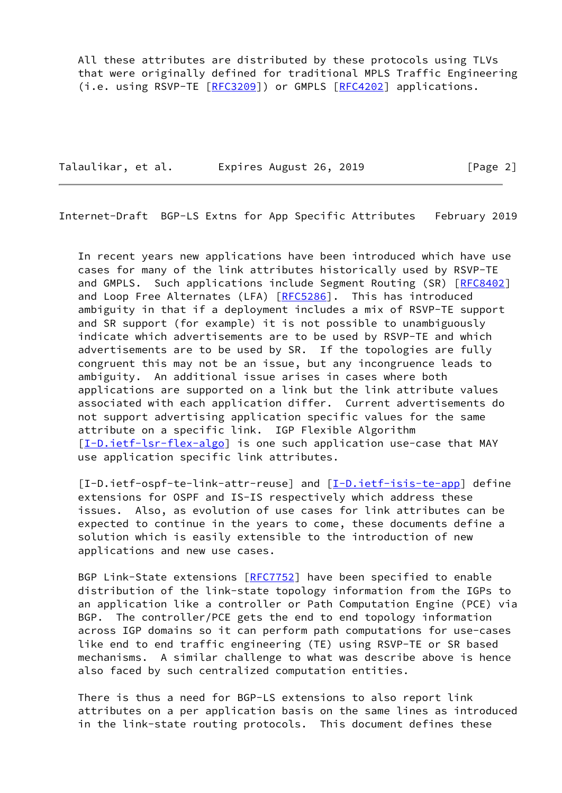All these attributes are distributed by these protocols using TLVs that were originally defined for traditional MPLS Traffic Engineering (i.e. using RSVP-TE [\[RFC3209](https://datatracker.ietf.org/doc/pdf/rfc3209)]) or GMPLS [\[RFC4202](https://datatracker.ietf.org/doc/pdf/rfc4202)] applications.

Talaulikar, et al. Expires August 26, 2019 [Page 2]

<span id="page-2-0"></span>Internet-Draft BGP-LS Extns for App Specific Attributes February 2019

 In recent years new applications have been introduced which have use cases for many of the link attributes historically used by RSVP-TE and GMPLS. Such applications include Segment Routing (SR) [[RFC8402\]](https://datatracker.ietf.org/doc/pdf/rfc8402) and Loop Free Alternates (LFA) [\[RFC5286](https://datatracker.ietf.org/doc/pdf/rfc5286)]. This has introduced ambiguity in that if a deployment includes a mix of RSVP-TE support and SR support (for example) it is not possible to unambiguously indicate which advertisements are to be used by RSVP-TE and which advertisements are to be used by SR. If the topologies are fully congruent this may not be an issue, but any incongruence leads to ambiguity. An additional issue arises in cases where both applications are supported on a link but the link attribute values associated with each application differ. Current advertisements do not support advertising application specific values for the same attribute on a specific link. IGP Flexible Algorithm [\[I-D.ietf-lsr-flex-algo](#page-12-2)] is one such application use-case that MAY use application specific link attributes.

<span id="page-2-1"></span> [I-D.ietf-ospf-te-link-attr-reuse] and [\[I-D.ietf-isis-te-app](#page-11-5)] define extensions for OSPF and IS-IS respectively which address these issues. Also, as evolution of use cases for link attributes can be expected to continue in the years to come, these documents define a solution which is easily extensible to the introduction of new applications and new use cases.

 BGP Link-State extensions [[RFC7752](https://datatracker.ietf.org/doc/pdf/rfc7752)] have been specified to enable distribution of the link-state topology information from the IGPs to an application like a controller or Path Computation Engine (PCE) via BGP. The controller/PCE gets the end to end topology information across IGP domains so it can perform path computations for use-cases like end to end traffic engineering (TE) using RSVP-TE or SR based mechanisms. A similar challenge to what was describe above is hence also faced by such centralized computation entities.

 There is thus a need for BGP-LS extensions to also report link attributes on a per application basis on the same lines as introduced in the link-state routing protocols. This document defines these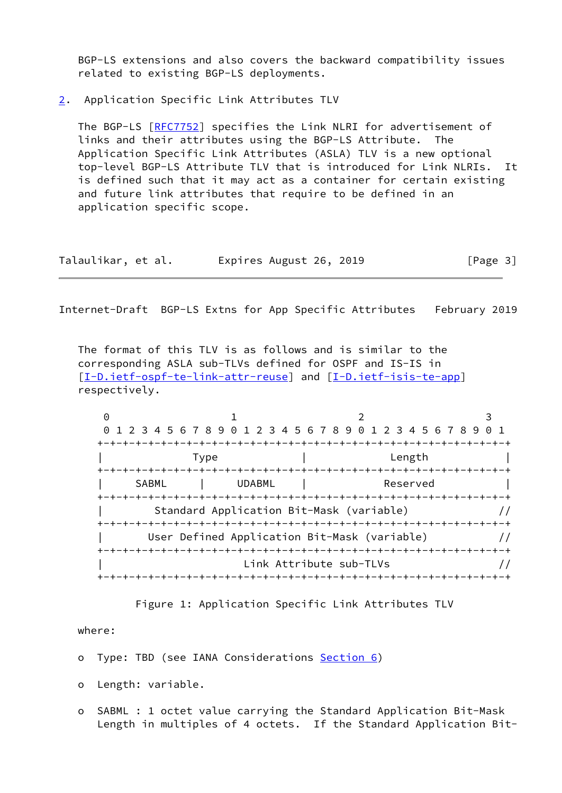BGP-LS extensions and also covers the backward compatibility issues related to existing BGP-LS deployments.

<span id="page-3-0"></span>[2](#page-3-0). Application Specific Link Attributes TLV

 The BGP-LS [[RFC7752\]](https://datatracker.ietf.org/doc/pdf/rfc7752) specifies the Link NLRI for advertisement of links and their attributes using the BGP-LS Attribute. The Application Specific Link Attributes (ASLA) TLV is a new optional top-level BGP-LS Attribute TLV that is introduced for Link NLRIs. It is defined such that it may act as a container for certain existing and future link attributes that require to be defined in an application specific scope.

| Talaulikar, et al. | Expires August 26, 2019 | [Page 3] |
|--------------------|-------------------------|----------|
|--------------------|-------------------------|----------|

Internet-Draft BGP-LS Extns for App Specific Attributes February 2019

 The format of this TLV is as follows and is similar to the corresponding ASLA sub-TLVs defined for OSPF and IS-IS in [\[I-D.ietf-ospf-te-link-attr-reuse](#page-2-1)] and [\[I-D.ietf-isis-te-app](#page-11-5)] respectively.

|       | 0 1 2 3 4 5 6 7 8 9 0 1 2 3 4 5 6 7 8 9 0 1 2 3 4 5 6 7 8 9 |                         | $\Theta$ 1 |
|-------|-------------------------------------------------------------|-------------------------|------------|
|       |                                                             |                         |            |
|       | Type                                                        | Length                  |            |
|       |                                                             |                         |            |
| SABML | <b>UDABML</b>                                               | Reserved                |            |
|       |                                                             |                         |            |
|       | Standard Application Bit-Mask (variable)                    |                         |            |
|       |                                                             |                         |            |
|       | User Defined Application Bit-Mask (variable)                |                         |            |
|       | +-+-+-+-+-+-+-+-+-+-+-+-+-+-+-+-+                           |                         |            |
|       |                                                             | Link Attribute sub-TLVs |            |
|       |                                                             |                         |            |

Figure 1: Application Specific Link Attributes TLV

### where:

o Type: TBD (see IANA Considerations [Section 6\)](#page-10-0)

o Length: variable.

 o SABML : 1 octet value carrying the Standard Application Bit-Mask Length in multiples of 4 octets. If the Standard Application Bit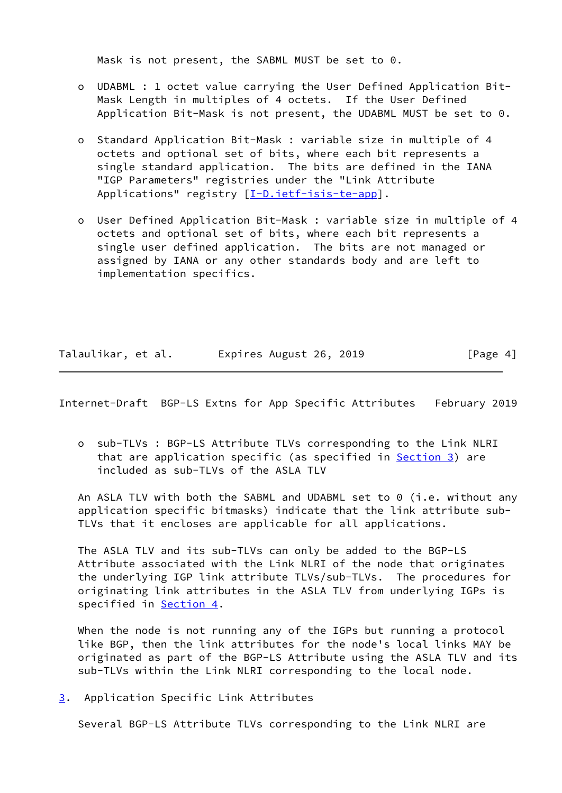Mask is not present, the SABML MUST be set to 0.

- o UDABML : 1 octet value carrying the User Defined Application Bit- Mask Length in multiples of 4 octets. If the User Defined Application Bit-Mask is not present, the UDABML MUST be set to 0.
- o Standard Application Bit-Mask : variable size in multiple of 4 octets and optional set of bits, where each bit represents a single standard application. The bits are defined in the IANA "IGP Parameters" registries under the "Link Attribute Applications" registry [[I-D.ietf-isis-te-app\]](#page-11-5).
- o User Defined Application Bit-Mask : variable size in multiple of 4 octets and optional set of bits, where each bit represents a single user defined application. The bits are not managed or assigned by IANA or any other standards body and are left to implementation specifics.

| Talaulikar, et al. | Expires August 26, 2019 | [Page 4] |
|--------------------|-------------------------|----------|
|--------------------|-------------------------|----------|

<span id="page-4-1"></span>Internet-Draft BGP-LS Extns for App Specific Attributes February 2019

 o sub-TLVs : BGP-LS Attribute TLVs corresponding to the Link NLRI that are application specific (as specified in [Section 3\)](#page-4-0) are included as sub-TLVs of the ASLA TLV

An ASLA TLV with both the SABML and UDABML set to 0 (i.e. without any application specific bitmasks) indicate that the link attribute sub- TLVs that it encloses are applicable for all applications.

 The ASLA TLV and its sub-TLVs can only be added to the BGP-LS Attribute associated with the Link NLRI of the node that originates the underlying IGP link attribute TLVs/sub-TLVs. The procedures for originating link attributes in the ASLA TLV from underlying IGPs is specified in [Section 4](#page-7-0).

 When the node is not running any of the IGPs but running a protocol like BGP, then the link attributes for the node's local links MAY be originated as part of the BGP-LS Attribute using the ASLA TLV and its sub-TLVs within the Link NLRI corresponding to the local node.

<span id="page-4-0"></span>[3](#page-4-0). Application Specific Link Attributes

Several BGP-LS Attribute TLVs corresponding to the Link NLRI are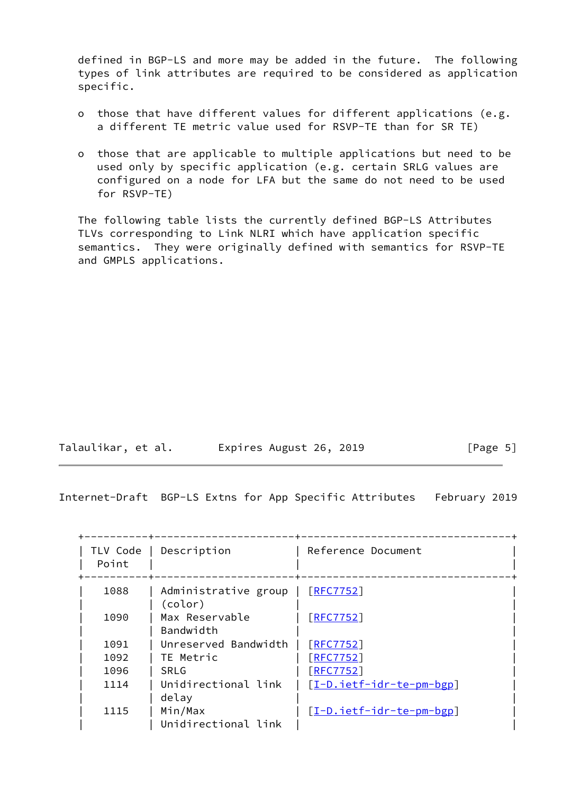defined in BGP-LS and more may be added in the future. The following types of link attributes are required to be considered as application specific.

- o those that have different values for different applications (e.g. a different TE metric value used for RSVP-TE than for SR TE)
- o those that are applicable to multiple applications but need to be used only by specific application (e.g. certain SRLG values are configured on a node for LFA but the same do not need to be used for RSVP-TE)

 The following table lists the currently defined BGP-LS Attributes TLVs corresponding to Link NLRI which have application specific semantics. They were originally defined with semantics for RSVP-TE and GMPLS applications.

| Talaulikar, et al. | Expires August 26, 2019 | [Page 5] |
|--------------------|-------------------------|----------|
|--------------------|-------------------------|----------|

Internet-Draft BGP-LS Extns for App Specific Attributes February 2019

| TLV Code<br>Point | Description                     | Reference Document       |
|-------------------|---------------------------------|--------------------------|
| 1088              | Administrative group<br>(color) | [REC7752]                |
| 1090              | Max Reservable<br>Bandwidth     | [REC7752]                |
| 1091              | Unreserved Bandwidth            | <b>FRFC77521</b>         |
| 1092              | TE Metric                       | <b>FRFC77521</b>         |
| 1096              | <b>SRLG</b>                     | $[$ RFC7752]             |
| 1114              | Unidirectional link<br>delay    | [I-D.ietf-idr-te-pm-bgp] |
| 1115              | Min/Max<br>Unidirectional link  | [I-D.ietf-idr-te-pm-bgp] |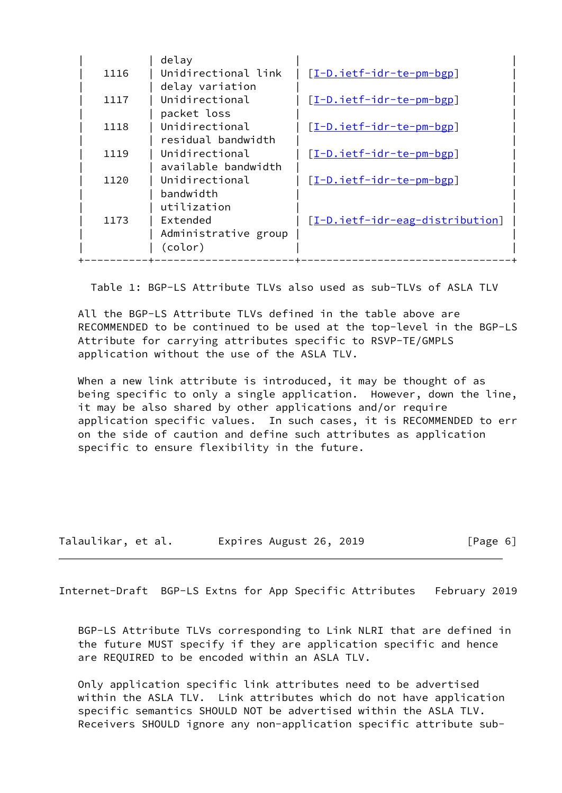|      | delay                |                                 |
|------|----------------------|---------------------------------|
| 1116 | Unidirectional link  | [I-D.ietf-idr-te-pm-bgp]        |
|      | delay variation      |                                 |
| 1117 | Unidirectional       | [I-D.ietf-idr-te-pm-bgp]        |
|      | packet loss          |                                 |
| 1118 | Unidirectional       | [I-D.ietf-idr-te-pm-bgp]        |
|      | residual bandwidth   |                                 |
| 1119 | Unidirectional       | [I-D.ietf-idr-te-pm-bgp]        |
|      | available bandwidth  |                                 |
| 1120 | Unidirectional       | [I-D.ietf-idr-te-pm-bgp]        |
|      | bandwidth            |                                 |
|      | utilization          |                                 |
| 1173 | Extended             | [I-D.ietf-idr-eag-distribution] |
|      | Administrative group |                                 |
|      | (color)              |                                 |
|      |                      |                                 |

Table 1: BGP-LS Attribute TLVs also used as sub-TLVs of ASLA TLV

 All the BGP-LS Attribute TLVs defined in the table above are RECOMMENDED to be continued to be used at the top-level in the BGP-LS Attribute for carrying attributes specific to RSVP-TE/GMPLS application without the use of the ASLA TLV.

When a new link attribute is introduced, it may be thought of as being specific to only a single application. However, down the line, it may be also shared by other applications and/or require application specific values. In such cases, it is RECOMMENDED to err on the side of caution and define such attributes as application specific to ensure flexibility in the future.

| Talaulikar, et al. | Expires August 26, 2019 | [Page 6] |
|--------------------|-------------------------|----------|
|--------------------|-------------------------|----------|

<span id="page-6-0"></span>Internet-Draft BGP-LS Extns for App Specific Attributes February 2019

 BGP-LS Attribute TLVs corresponding to Link NLRI that are defined in the future MUST specify if they are application specific and hence are REQUIRED to be encoded within an ASLA TLV.

 Only application specific link attributes need to be advertised within the ASLA TLV. Link attributes which do not have application specific semantics SHOULD NOT be advertised within the ASLA TLV. Receivers SHOULD ignore any non-application specific attribute sub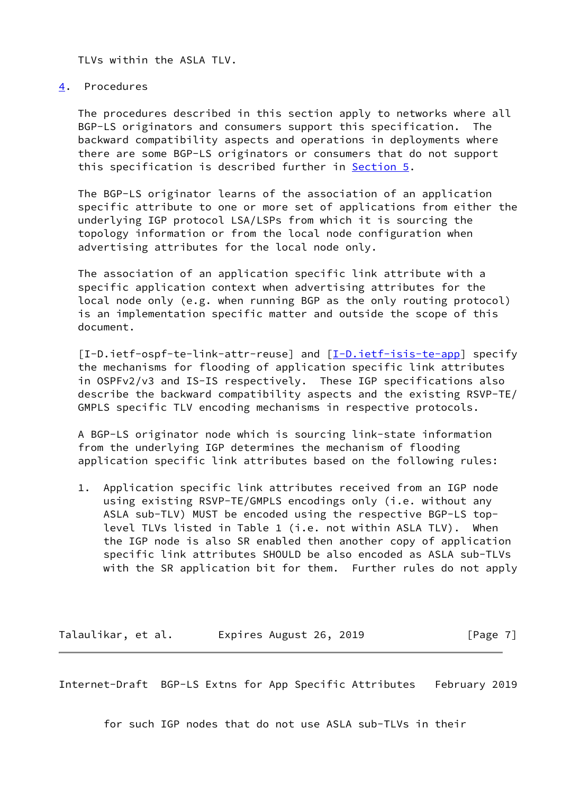TLVs within the ASLA TLV.

## <span id="page-7-0"></span>[4](#page-7-0). Procedures

 The procedures described in this section apply to networks where all BGP-LS originators and consumers support this specification. The backward compatibility aspects and operations in deployments where there are some BGP-LS originators or consumers that do not support this specification is described further in [Section 5.](#page-8-0)

 The BGP-LS originator learns of the association of an application specific attribute to one or more set of applications from either the underlying IGP protocol LSA/LSPs from which it is sourcing the topology information or from the local node configuration when advertising attributes for the local node only.

 The association of an application specific link attribute with a specific application context when advertising attributes for the local node only (e.g. when running BGP as the only routing protocol) is an implementation specific matter and outside the scope of this document.

[I-D.ietf-ospf-te-link-attr-reuse] and [\[I-D.ietf-isis-te-app](#page-11-5)] specify the mechanisms for flooding of application specific link attributes in OSPFv2/v3 and IS-IS respectively. These IGP specifications also describe the backward compatibility aspects and the existing RSVP-TE/ GMPLS specific TLV encoding mechanisms in respective protocols.

 A BGP-LS originator node which is sourcing link-state information from the underlying IGP determines the mechanism of flooding application specific link attributes based on the following rules:

 1. Application specific link attributes received from an IGP node using existing RSVP-TE/GMPLS encodings only (i.e. without any ASLA sub-TLV) MUST be encoded using the respective BGP-LS top level TLVs listed in Table 1 (i.e. not within ASLA TLV). When the IGP node is also SR enabled then another copy of application specific link attributes SHOULD be also encoded as ASLA sub-TLVs with the SR application bit for them. Further rules do not apply

Talaulikar, et al. Expires August 26, 2019 [Page 7]

<span id="page-7-1"></span>Internet-Draft BGP-LS Extns for App Specific Attributes February 2019

for such IGP nodes that do not use ASLA sub-TLVs in their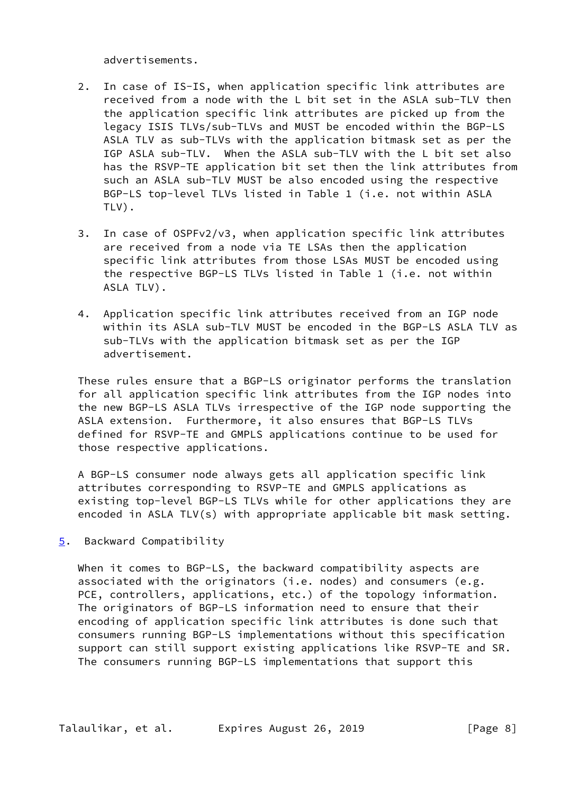advertisements.

- 2. In case of IS-IS, when application specific link attributes are received from a node with the L bit set in the ASLA sub-TLV then the application specific link attributes are picked up from the legacy ISIS TLVs/sub-TLVs and MUST be encoded within the BGP-LS ASLA TLV as sub-TLVs with the application bitmask set as per the IGP ASLA sub-TLV. When the ASLA sub-TLV with the L bit set also has the RSVP-TE application bit set then the link attributes from such an ASLA sub-TLV MUST be also encoded using the respective BGP-LS top-level TLVs listed in Table 1 (i.e. not within ASLA TLV).
- 3. In case of OSPFv2/v3, when application specific link attributes are received from a node via TE LSAs then the application specific link attributes from those LSAs MUST be encoded using the respective BGP-LS TLVs listed in Table 1 (i.e. not within ASLA TLV).
- 4. Application specific link attributes received from an IGP node within its ASLA sub-TLV MUST be encoded in the BGP-LS ASLA TLV as sub-TLVs with the application bitmask set as per the IGP advertisement.

 These rules ensure that a BGP-LS originator performs the translation for all application specific link attributes from the IGP nodes into the new BGP-LS ASLA TLVs irrespective of the IGP node supporting the ASLA extension. Furthermore, it also ensures that BGP-LS TLVs defined for RSVP-TE and GMPLS applications continue to be used for those respective applications.

 A BGP-LS consumer node always gets all application specific link attributes corresponding to RSVP-TE and GMPLS applications as existing top-level BGP-LS TLVs while for other applications they are encoded in ASLA TLV(s) with appropriate applicable bit mask setting.

<span id="page-8-0"></span>[5](#page-8-0). Backward Compatibility

When it comes to BGP-LS, the backward compatibility aspects are associated with the originators (i.e. nodes) and consumers (e.g. PCE, controllers, applications, etc.) of the topology information. The originators of BGP-LS information need to ensure that their encoding of application specific link attributes is done such that consumers running BGP-LS implementations without this specification support can still support existing applications like RSVP-TE and SR. The consumers running BGP-LS implementations that support this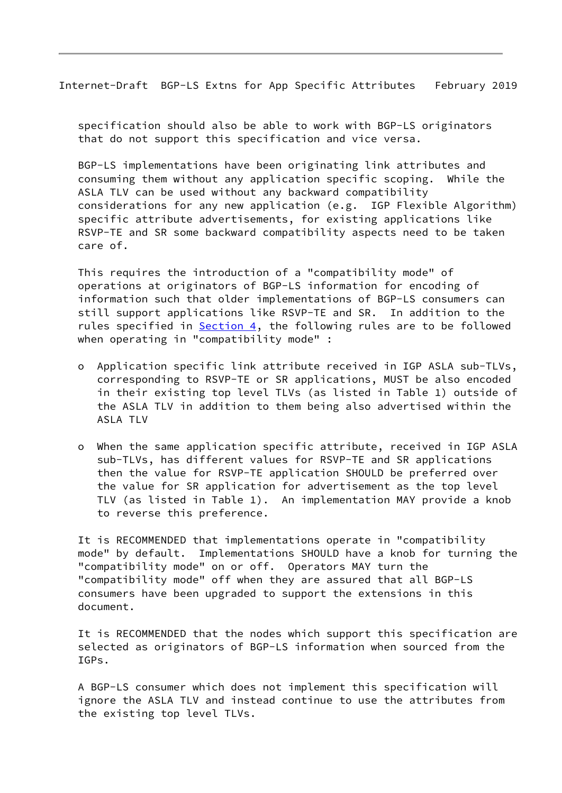Internet-Draft BGP-LS Extns for App Specific Attributes February 2019

 specification should also be able to work with BGP-LS originators that do not support this specification and vice versa.

 BGP-LS implementations have been originating link attributes and consuming them without any application specific scoping. While the ASLA TLV can be used without any backward compatibility considerations for any new application (e.g. IGP Flexible Algorithm) specific attribute advertisements, for existing applications like RSVP-TE and SR some backward compatibility aspects need to be taken care of.

 This requires the introduction of a "compatibility mode" of operations at originators of BGP-LS information for encoding of information such that older implementations of BGP-LS consumers can still support applications like RSVP-TE and SR. In addition to the rules specified in [Section 4,](#page-7-0) the following rules are to be followed when operating in "compatibility mode" :

- o Application specific link attribute received in IGP ASLA sub-TLVs, corresponding to RSVP-TE or SR applications, MUST be also encoded in their existing top level TLVs (as listed in Table 1) outside of the ASLA TLV in addition to them being also advertised within the ASLA TLV
- o When the same application specific attribute, received in IGP ASLA sub-TLVs, has different values for RSVP-TE and SR applications then the value for RSVP-TE application SHOULD be preferred over the value for SR application for advertisement as the top level TLV (as listed in Table 1). An implementation MAY provide a knob to reverse this preference.

 It is RECOMMENDED that implementations operate in "compatibility mode" by default. Implementations SHOULD have a knob for turning the "compatibility mode" on or off. Operators MAY turn the "compatibility mode" off when they are assured that all BGP-LS consumers have been upgraded to support the extensions in this document.

 It is RECOMMENDED that the nodes which support this specification are selected as originators of BGP-LS information when sourced from the IGPs.

 A BGP-LS consumer which does not implement this specification will ignore the ASLA TLV and instead continue to use the attributes from the existing top level TLVs.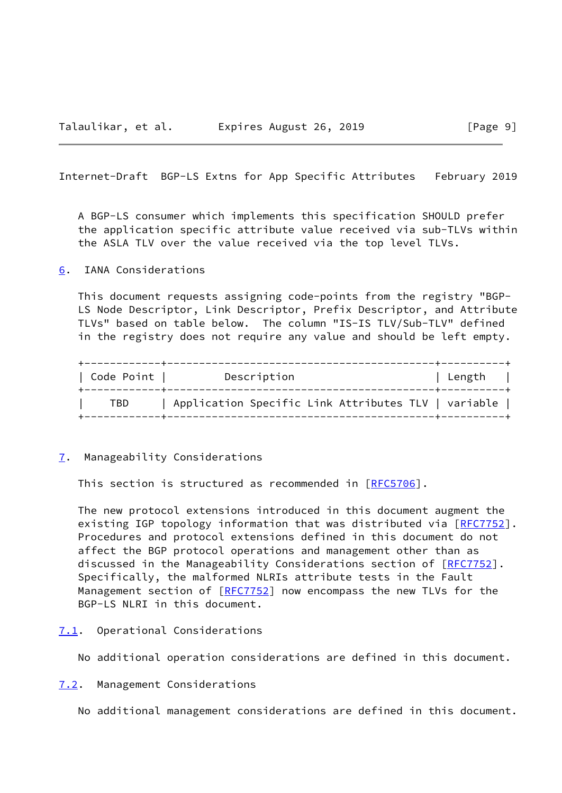<span id="page-10-1"></span>Internet-Draft BGP-LS Extns for App Specific Attributes February 2019

 A BGP-LS consumer which implements this specification SHOULD prefer the application specific attribute value received via sub-TLVs within the ASLA TLV over the value received via the top level TLVs.

# <span id="page-10-0"></span>[6](#page-10-0). IANA Considerations

 This document requests assigning code-points from the registry "BGP- LS Node Descriptor, Link Descriptor, Prefix Descriptor, and Attribute TLVs" based on table below. The column "IS-IS TLV/Sub-TLV" defined in the registry does not require any value and should be left empty.

| Code Point | Description                                         | Length |
|------------|-----------------------------------------------------|--------|
| TBD        | Application Specific Link Attributes TLV   variable |        |

#### <span id="page-10-2"></span>[7](#page-10-2). Manageability Considerations

This section is structured as recommended in [\[RFC5706](https://datatracker.ietf.org/doc/pdf/rfc5706)].

 The new protocol extensions introduced in this document augment the existing IGP topology information that was distributed via [[RFC7752\]](https://datatracker.ietf.org/doc/pdf/rfc7752). Procedures and protocol extensions defined in this document do not affect the BGP protocol operations and management other than as discussed in the Manageability Considerations section of [\[RFC7752](https://datatracker.ietf.org/doc/pdf/rfc7752)]. Specifically, the malformed NLRIs attribute tests in the Fault Management section of [[RFC7752](https://datatracker.ietf.org/doc/pdf/rfc7752)] now encompass the new TLVs for the BGP-LS NLRI in this document.

### <span id="page-10-3"></span>[7.1](#page-10-3). Operational Considerations

No additional operation considerations are defined in this document.

<span id="page-10-4"></span>[7.2](#page-10-4). Management Considerations

No additional management considerations are defined in this document.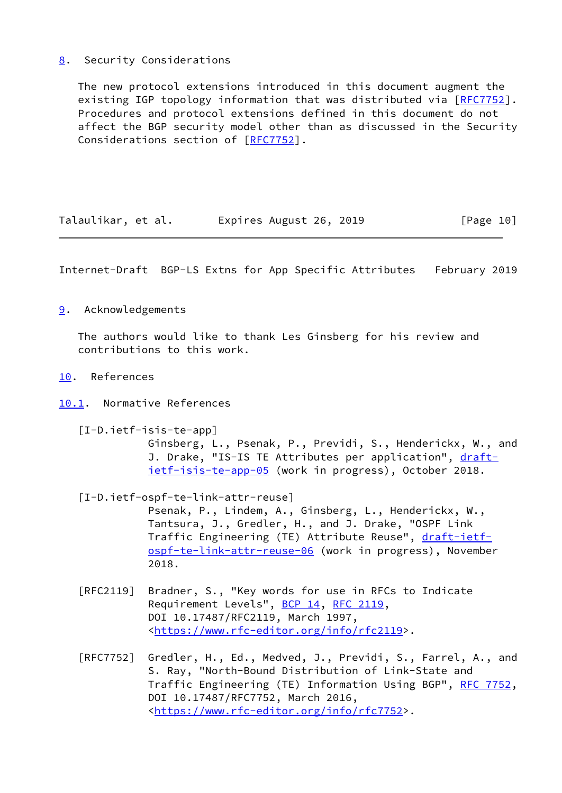# <span id="page-11-0"></span>[8](#page-11-0). Security Considerations

 The new protocol extensions introduced in this document augment the existing IGP topology information that was distributed via [[RFC7752\]](https://datatracker.ietf.org/doc/pdf/rfc7752). Procedures and protocol extensions defined in this document do not affect the BGP security model other than as discussed in the Security Considerations section of [[RFC7752](https://datatracker.ietf.org/doc/pdf/rfc7752)].

| Talaulikar, et al. | Expires August 26, 2019 | [Page 10] |
|--------------------|-------------------------|-----------|
|--------------------|-------------------------|-----------|

<span id="page-11-2"></span>Internet-Draft BGP-LS Extns for App Specific Attributes February 2019

<span id="page-11-1"></span>[9](#page-11-1). Acknowledgements

 The authors would like to thank Les Ginsberg for his review and contributions to this work.

- <span id="page-11-3"></span>[10.](#page-11-3) References
- <span id="page-11-5"></span><span id="page-11-4"></span>[10.1](#page-11-4). Normative References
	- [I-D.ietf-isis-te-app]

 Ginsberg, L., Psenak, P., Previdi, S., Henderickx, W., and J. Drake, "IS-IS TE Attributes per application", [draft](https://datatracker.ietf.org/doc/pdf/draft-ietf-isis-te-app-05) [ietf-isis-te-app-05](https://datatracker.ietf.org/doc/pdf/draft-ietf-isis-te-app-05) (work in progress), October 2018.

[I-D.ietf-ospf-te-link-attr-reuse]

 Psenak, P., Lindem, A., Ginsberg, L., Henderickx, W., Tantsura, J., Gredler, H., and J. Drake, "OSPF Link Traffic Engineering (TE) Attribute Reuse", [draft-ietf](https://datatracker.ietf.org/doc/pdf/draft-ietf-ospf-te-link-attr-reuse-06) [ospf-te-link-attr-reuse-06](https://datatracker.ietf.org/doc/pdf/draft-ietf-ospf-te-link-attr-reuse-06) (work in progress), November 2018.

- [RFC2119] Bradner, S., "Key words for use in RFCs to Indicate Requirement Levels", [BCP 14](https://datatracker.ietf.org/doc/pdf/bcp14), [RFC 2119](https://datatracker.ietf.org/doc/pdf/rfc2119), DOI 10.17487/RFC2119, March 1997, <[https://www.rfc-editor.org/info/rfc2119>](https://www.rfc-editor.org/info/rfc2119).
- [RFC7752] Gredler, H., Ed., Medved, J., Previdi, S., Farrel, A., and S. Ray, "North-Bound Distribution of Link-State and Traffic Engineering (TE) Information Using BGP", [RFC 7752,](https://datatracker.ietf.org/doc/pdf/rfc7752) DOI 10.17487/RFC7752, March 2016, <[https://www.rfc-editor.org/info/rfc7752>](https://www.rfc-editor.org/info/rfc7752).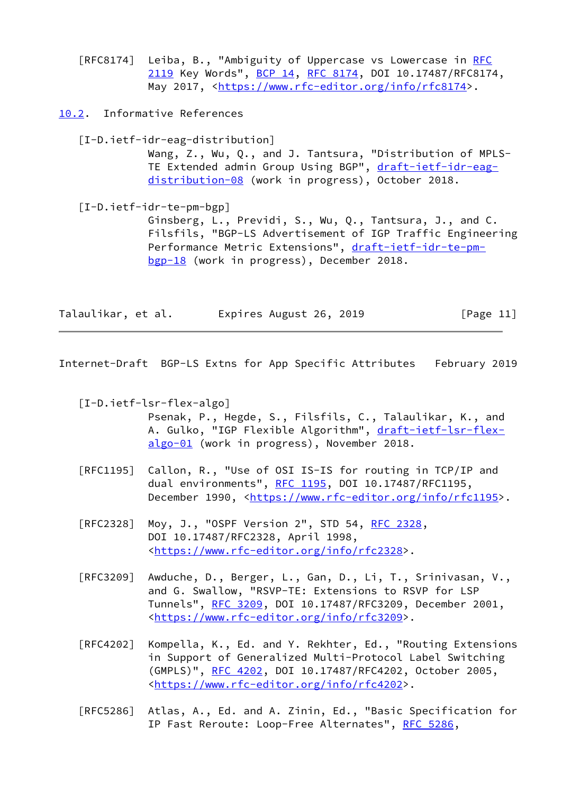[RFC8174] Leiba, B., "Ambiguity of Uppercase vs Lowercase in [RFC](https://datatracker.ietf.org/doc/pdf/rfc2119) [2119](https://datatracker.ietf.org/doc/pdf/rfc2119) Key Words", [BCP 14](https://datatracker.ietf.org/doc/pdf/bcp14), [RFC 8174,](https://datatracker.ietf.org/doc/pdf/rfc8174) DOI 10.17487/RFC8174, May 2017, [<https://www.rfc-editor.org/info/rfc8174](https://www.rfc-editor.org/info/rfc8174)>.

<span id="page-12-0"></span>[10.2](#page-12-0). Informative References

<span id="page-12-4"></span>[I-D.ietf-idr-eag-distribution]

 Wang, Z., Wu, Q., and J. Tantsura, "Distribution of MPLS TE Extended admin Group Using BGP", [draft-ietf-idr-eag](https://datatracker.ietf.org/doc/pdf/draft-ietf-idr-eag-distribution-08) [distribution-08](https://datatracker.ietf.org/doc/pdf/draft-ietf-idr-eag-distribution-08) (work in progress), October 2018.

<span id="page-12-3"></span> [I-D.ietf-idr-te-pm-bgp] Ginsberg, L., Previdi, S., Wu, Q., Tantsura, J., and C. Filsfils, "BGP-LS Advertisement of IGP Traffic Engineering Performance Metric Extensions", [draft-ietf-idr-te-pm](https://datatracker.ietf.org/doc/pdf/draft-ietf-idr-te-pm-bgp-18) [bgp-18](https://datatracker.ietf.org/doc/pdf/draft-ietf-idr-te-pm-bgp-18) (work in progress), December 2018.

Talaulikar, et al. Expires August 26, 2019 [Page 11]

<span id="page-12-1"></span>Internet-Draft BGP-LS Extns for App Specific Attributes February 2019

<span id="page-12-2"></span>[I-D.ietf-lsr-flex-algo]

 Psenak, P., Hegde, S., Filsfils, C., Talaulikar, K., and A. Gulko, "IGP Flexible Algorithm", [draft-ietf-lsr-flex](https://datatracker.ietf.org/doc/pdf/draft-ietf-lsr-flex-algo-01) [algo-01](https://datatracker.ietf.org/doc/pdf/draft-ietf-lsr-flex-algo-01) (work in progress), November 2018.

- [RFC1195] Callon, R., "Use of OSI IS-IS for routing in TCP/IP and dual environments", [RFC 1195,](https://datatracker.ietf.org/doc/pdf/rfc1195) DOI 10.17487/RFC1195, December 1990, <<https://www.rfc-editor.org/info/rfc1195>>.
- [RFC2328] Moy, J., "OSPF Version 2", STD 54, [RFC 2328](https://datatracker.ietf.org/doc/pdf/rfc2328), DOI 10.17487/RFC2328, April 1998, <[https://www.rfc-editor.org/info/rfc2328>](https://www.rfc-editor.org/info/rfc2328).
- [RFC3209] Awduche, D., Berger, L., Gan, D., Li, T., Srinivasan, V., and G. Swallow, "RSVP-TE: Extensions to RSVP for LSP Tunnels", [RFC 3209](https://datatracker.ietf.org/doc/pdf/rfc3209), DOI 10.17487/RFC3209, December 2001, <[https://www.rfc-editor.org/info/rfc3209>](https://www.rfc-editor.org/info/rfc3209).
- [RFC4202] Kompella, K., Ed. and Y. Rekhter, Ed., "Routing Extensions in Support of Generalized Multi-Protocol Label Switching (GMPLS)", [RFC 4202](https://datatracker.ietf.org/doc/pdf/rfc4202), DOI 10.17487/RFC4202, October 2005, <[https://www.rfc-editor.org/info/rfc4202>](https://www.rfc-editor.org/info/rfc4202).
- [RFC5286] Atlas, A., Ed. and A. Zinin, Ed., "Basic Specification for IP Fast Reroute: Loop-Free Alternates", [RFC 5286,](https://datatracker.ietf.org/doc/pdf/rfc5286)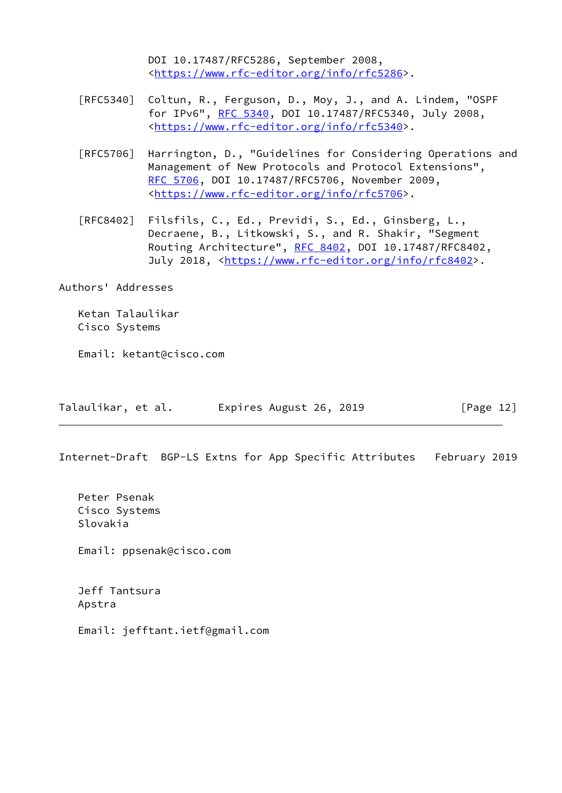DOI 10.17487/RFC5286, September 2008, <[https://www.rfc-editor.org/info/rfc5286>](https://www.rfc-editor.org/info/rfc5286).

- [RFC5340] Coltun, R., Ferguson, D., Moy, J., and A. Lindem, "OSPF for IPv6", [RFC 5340](https://datatracker.ietf.org/doc/pdf/rfc5340), DOI 10.17487/RFC5340, July 2008, <[https://www.rfc-editor.org/info/rfc5340>](https://www.rfc-editor.org/info/rfc5340).
- [RFC5706] Harrington, D., "Guidelines for Considering Operations and Management of New Protocols and Protocol Extensions", [RFC 5706,](https://datatracker.ietf.org/doc/pdf/rfc5706) DOI 10.17487/RFC5706, November 2009, <[https://www.rfc-editor.org/info/rfc5706>](https://www.rfc-editor.org/info/rfc5706).
- [RFC8402] Filsfils, C., Ed., Previdi, S., Ed., Ginsberg, L., Decraene, B., Litkowski, S., and R. Shakir, "Segment Routing Architecture", [RFC 8402](https://datatracker.ietf.org/doc/pdf/rfc8402), DOI 10.17487/RFC8402, July 2018, <<https://www.rfc-editor.org/info/rfc8402>>.

Authors' Addresses

 Ketan Talaulikar Cisco Systems

Email: ketant@cisco.com

| Talaulikar, et al. | Expires August 26, 2019 | [Page 12] |
|--------------------|-------------------------|-----------|
|--------------------|-------------------------|-----------|

Internet-Draft BGP-LS Extns for App Specific Attributes February 2019

 Peter Psenak Cisco Systems Slovakia

Email: ppsenak@cisco.com

 Jeff Tantsura Apstra

Email: jefftant.ietf@gmail.com